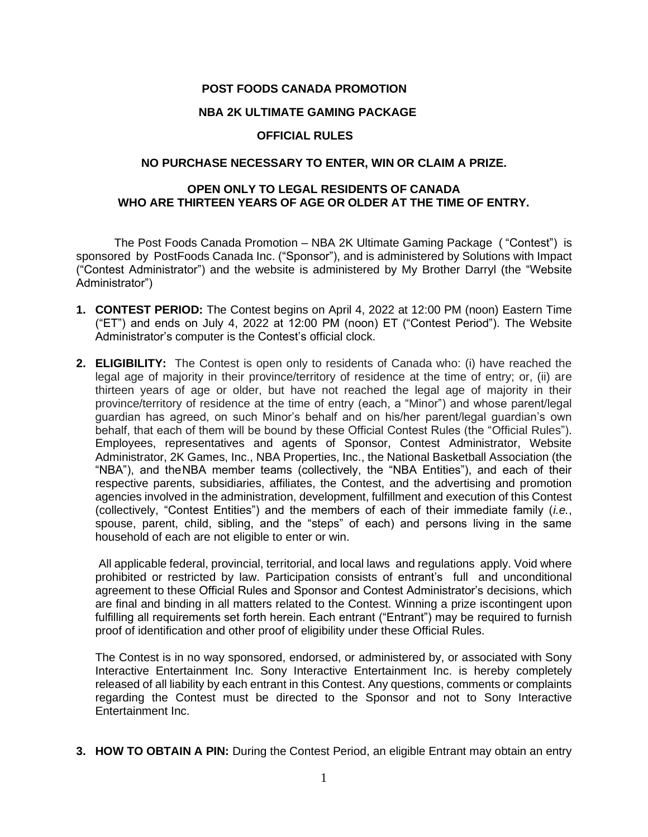## **POST FOODS CANADA PROMOTION**

#### **NBA 2K ULTIMATE GAMING PACKAGE**

#### **OFFICIAL RULES**

# **NO PURCHASE NECESSARY TO ENTER, WIN OR CLAIM A PRIZE.**

# **OPEN ONLY TO LEGAL RESIDENTS OF CANADA WHO ARE THIRTEEN YEARS OF AGE OR OLDER AT THE TIME OF ENTRY.**

The Post Foods Canada Promotion – NBA 2K Ultimate Gaming Package ( "Contest") is sponsored by PostFoods Canada Inc. ("Sponsor"), and is administered by Solutions with Impact ("Contest Administrator") and the website is administered by My Brother Darryl (the "Website Administrator")

- **1. CONTEST PERIOD:** The Contest begins on April 4, 2022 at 12:00 PM (noon) Eastern Time ("ET") and ends on July 4, 2022 at 12:00 PM (noon) ET ("Contest Period"). The Website Administrator's computer is the Contest's official clock.
- **2. ELIGIBILITY:** The Contest is open only to residents of Canada who: (i) have reached the legal age of majority in their province/territory of residence at the time of entry; or, (ii) are thirteen years of age or older, but have not reached the legal age of majority in their province/territory of residence at the time of entry (each, a "Minor") and whose parent/legal guardian has agreed, on such Minor's behalf and on his/her parent/legal guardian's own behalf, that each of them will be bound by these Official Contest Rules (the "Official Rules"). Employees, representatives and agents of Sponsor, Contest Administrator, Website Administrator, 2K Games, Inc., NBA Properties, Inc., the National Basketball Association (the "NBA"), and theNBA member teams (collectively, the "NBA Entities"), and each of their respective parents, subsidiaries, affiliates, the Contest, and the advertising and promotion agencies involved in the administration, development, fulfillment and execution of this Contest (collectively, "Contest Entities") and the members of each of their immediate family (*i.e.*, spouse, parent, child, sibling, and the "steps" of each) and persons living in the same household of each are not eligible to enter or win.

All applicable federal, provincial, territorial, and local laws and regulations apply. Void where prohibited or restricted by law. Participation consists of entrant's full and unconditional agreement to these Official Rules and Sponsor and Contest Administrator's decisions, which are final and binding in all matters related to the Contest. Winning a prize iscontingent upon fulfilling all requirements set forth herein. Each entrant ("Entrant") may be required to furnish proof of identification and other proof of eligibility under these Official Rules.

The Contest is in no way sponsored, endorsed, or administered by, or associated with Sony Interactive Entertainment Inc. Sony Interactive Entertainment Inc. is hereby completely released of all liability by each entrant in this Contest. Any questions, comments or complaints regarding the Contest must be directed to the Sponsor and not to Sony Interactive Entertainment Inc.

**3. HOW TO OBTAIN A PIN:** During the Contest Period, an eligible Entrant may obtain an entry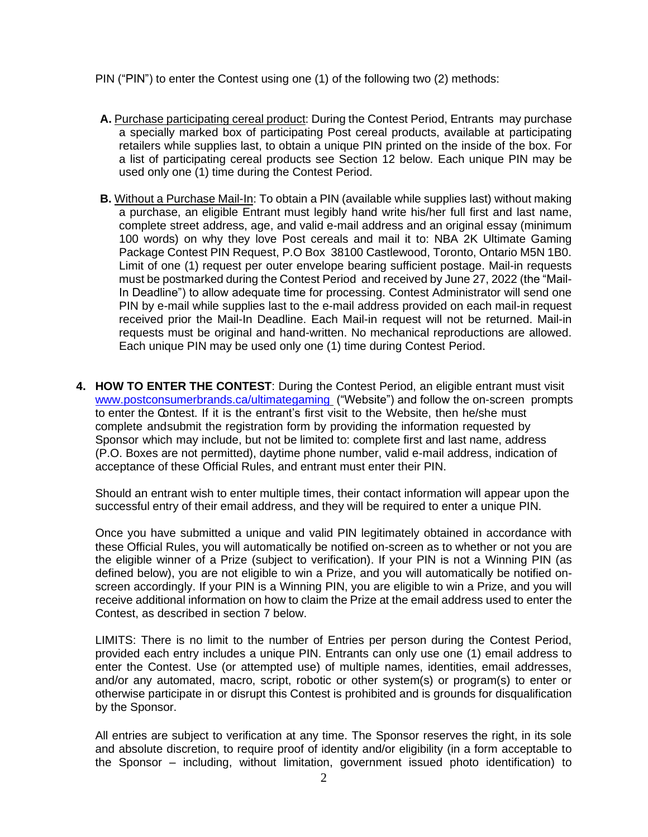PIN ("PIN") to enter the Contest using one (1) of the following two (2) methods:

- **A.** Purchase participating cereal product: During the Contest Period, Entrants may purchase a specially marked box of participating Post cereal products, available at participating retailers while supplies last, to obtain a unique PIN printed on the inside of the box. For a list of participating cereal products see Section 12 below. Each unique PIN may be used only one (1) time during the Contest Period.
- **B.** Without a Purchase Mail-In: To obtain a PIN (available while supplies last) without making a purchase, an eligible Entrant must legibly hand write his/her full first and last name, complete street address, age, and valid e-mail address and an original essay (minimum 100 words) on why they love Post cereals and mail it to: NBA 2K Ultimate Gaming Package Contest PIN Request, P.O Box 38100 Castlewood, Toronto, Ontario M5N 1B0. Limit of one (1) request per outer envelope bearing sufficient postage. Mail-in requests must be postmarked during the Contest Period and received by June 27, 2022 (the "Mail-In Deadline") to allow adequate time for processing. Contest Administrator will send one PIN by e-mail while supplies last to the e-mail address provided on each mail-in request received prior the Mail-In Deadline. Each Mail-in request will not be returned. Mail-in requests must be original and hand-written. No mechanical reproductions are allowed. Each unique PIN may be used only one (1) time during Contest Period.
- **4. HOW TO ENTER THE CONTEST**: During the Contest Period, an eligible entrant must visit [www.postconsumerbrands.ca/ultimategaming](http://www.postconsumerbrands.ca/ultimategaming) ("Website") and follow the on-screen prompts to enter the Contest. If it is the entrant's first visit to the Website, then he/she must complete and submit the registration form by providing the information requested by Sponsor which may include, but not be limited to: complete first and last name, address (P.O. Boxes are not permitted), daytime phone number, valid e-mail address, indication of acceptance of these Official Rules, and entrant must enter their PIN.

Should an entrant wish to enter multiple times, their contact information will appear upon the successful entry of their email address, and they will be required to enter a unique PIN.

Once you have submitted a unique and valid PIN legitimately obtained in accordance with these Official Rules, you will automatically be notified on-screen as to whether or not you are the eligible winner of a Prize (subject to verification). If your PIN is not a Winning PIN (as defined below), you are not eligible to win a Prize, and you will automatically be notified onscreen accordingly. If your PIN is a Winning PIN, you are eligible to win a Prize, and you will receive additional information on how to claim the Prize at the email address used to enter the Contest, as described in section 7 below.

LIMITS: There is no limit to the number of Entries per person during the Contest Period, provided each entry includes a unique PIN. Entrants can only use one (1) email address to enter the Contest. Use (or attempted use) of multiple names, identities, email addresses, and/or any automated, macro, script, robotic or other system(s) or program(s) to enter or otherwise participate in or disrupt this Contest is prohibited and is grounds for disqualification by the Sponsor.

All entries are subject to verification at any time. The Sponsor reserves the right, in its sole and absolute discretion, to require proof of identity and/or eligibility (in a form acceptable to the Sponsor – including, without limitation, government issued photo identification) to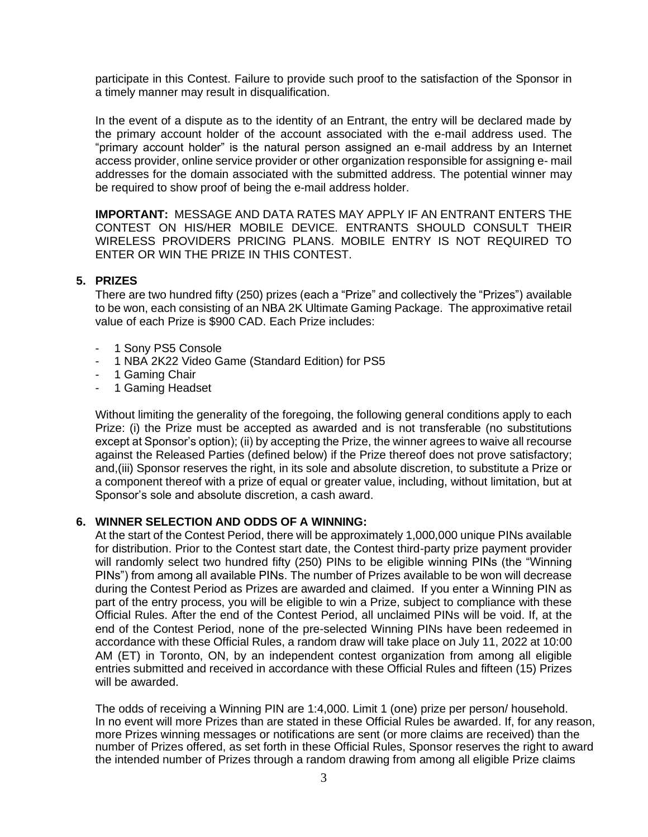participate in this Contest. Failure to provide such proof to the satisfaction of the Sponsor in a timely manner may result in disqualification.

In the event of a dispute as to the identity of an Entrant, the entry will be declared made by the primary account holder of the account associated with the e-mail address used. The "primary account holder" is the natural person assigned an e-mail address by an Internet access provider, online service provider or other organization responsible for assigning e- mail addresses for the domain associated with the submitted address. The potential winner may be required to show proof of being the e-mail address holder.

**IMPORTANT:** MESSAGE AND DATA RATES MAY APPLY IF AN ENTRANT ENTERS THE CONTEST ON HIS/HER MOBILE DEVICE. ENTRANTS SHOULD CONSULT THEIR WIRELESS PROVIDERS PRICING PLANS. MOBILE ENTRY IS NOT REQUIRED TO ENTER OR WIN THE PRIZE IN THIS CONTEST.

## **5. PRIZES**

There are two hundred fifty (250) prizes (each a "Prize" and collectively the "Prizes") available to be won, each consisting of an NBA 2K Ultimate Gaming Package. The approximative retail value of each Prize is \$900 CAD. Each Prize includes:

- 1 Sony PS5 Console
- 1 NBA 2K22 Video Game (Standard Edition) for PS5
- 1 Gaming Chair
- 1 Gaming Headset

Without limiting the generality of the foregoing, the following general conditions apply to each Prize: (i) the Prize must be accepted as awarded and is not transferable (no substitutions except at Sponsor's option); (ii) by accepting the Prize, the winner agrees to waive all recourse against the Released Parties (defined below) if the Prize thereof does not prove satisfactory; and,(iii) Sponsor reserves the right, in its sole and absolute discretion, to substitute a Prize or a component thereof with a prize of equal or greater value, including, without limitation, but at Sponsor's sole and absolute discretion, a cash award.

#### **6. WINNER SELECTION AND ODDS OF A WINNING:**

At the start of the Contest Period, there will be approximately 1,000,000 unique PINs available for distribution. Prior to the Contest start date, the Contest third-party prize payment provider will randomly select two hundred fifty (250) PINs to be eligible winning PINs (the "Winning PINs") from among all available PINs. The number of Prizes available to be won will decrease during the Contest Period as Prizes are awarded and claimed. If you enter a Winning PIN as part of the entry process, you will be eligible to win a Prize, subject to compliance with these Official Rules. After the end of the Contest Period, all unclaimed PINs will be void. If, at the end of the Contest Period, none of the pre-selected Winning PINs have been redeemed in accordance with these Official Rules, a random draw will take place on July 11, 2022 at 10:00 AM (ET) in Toronto, ON, by an independent contest organization from among all eligible entries submitted and received in accordance with these Official Rules and fifteen (15) Prizes will be awarded.

The odds of receiving a Winning PIN are 1:4,000. Limit 1 (one) prize per person/ household. In no event will more Prizes than are stated in these Official Rules be awarded. If, for any reason, more Prizes winning messages or notifications are sent (or more claims are received) than the number of Prizes offered, as set forth in these Official Rules, Sponsor reserves the right to award the intended number of Prizes through a random drawing from among all eligible Prize claims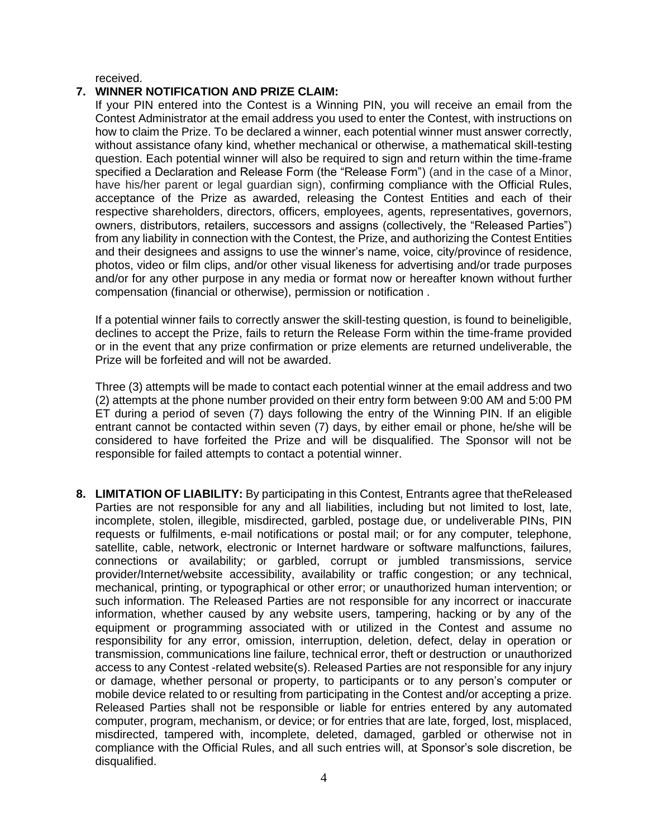received.

## **7. WINNER NOTIFICATION AND PRIZE CLAIM:**

If your PIN entered into the Contest is a Winning PIN, you will receive an email from the Contest Administrator at the email address you used to enter the Contest, with instructions on how to claim the Prize. To be declared a winner, each potential winner must answer correctly, without assistance ofany kind, whether mechanical or otherwise, a mathematical skill-testing question. Each potential winner will also be required to sign and return within the time-frame specified a Declaration and Release Form (the "Release Form") (and in the case of a Minor, have his/her parent or legal guardian sign), confirming compliance with the Official Rules, acceptance of the Prize as awarded, releasing the Contest Entities and each of their respective shareholders, directors, officers, employees, agents, representatives, governors, owners, distributors, retailers, successors and assigns (collectively, the "Released Parties") from any liability in connection with the Contest, the Prize, and authorizing the Contest Entities and their designees and assigns to use the winner's name, voice, city/province of residence, photos, video or film clips, and/or other visual likeness for advertising and/or trade purposes and/or for any other purpose in any media or format now or hereafter known without further compensation (financial or otherwise), permission or notification .

If a potential winner fails to correctly answer the skill-testing question, is found to beineligible, declines to accept the Prize, fails to return the Release Form within the time-frame provided or in the event that any prize confirmation or prize elements are returned undeliverable, the Prize will be forfeited and will not be awarded.

Three (3) attempts will be made to contact each potential winner at the email address and two (2) attempts at the phone number provided on their entry form between 9:00 AM and 5:00 PM ET during a period of seven (7) days following the entry of the Winning PIN. If an eligible entrant cannot be contacted within seven (7) days, by either email or phone, he/she will be considered to have forfeited the Prize and will be disqualified. The Sponsor will not be responsible for failed attempts to contact a potential winner.

**8. LIMITATION OF LIABILITY:** By participating in this Contest, Entrants agree that theReleased Parties are not responsible for any and all liabilities, including but not limited to lost, late, incomplete, stolen, illegible, misdirected, garbled, postage due, or undeliverable PINs, PIN requests or fulfilments, e-mail notifications or postal mail; or for any computer, telephone, satellite, cable, network, electronic or Internet hardware or software malfunctions, failures, connections or availability; or garbled, corrupt or jumbled transmissions, service provider/Internet/website accessibility, availability or traffic congestion; or any technical, mechanical, printing, or typographical or other error; or unauthorized human intervention; or such information. The Released Parties are not responsible for any incorrect or inaccurate information, whether caused by any website users, tampering, hacking or by any of the equipment or programming associated with or utilized in the Contest and assume no responsibility for any error, omission, interruption, deletion, defect, delay in operation or transmission, communications line failure, technical error, theft or destruction or unauthorized access to any Contest -related website(s). Released Parties are not responsible for any injury or damage, whether personal or property, to participants or to any person's computer or mobile device related to or resulting from participating in the Contest and/or accepting a prize. Released Parties shall not be responsible or liable for entries entered by any automated computer, program, mechanism, or device; or for entries that are late, forged, lost, misplaced, misdirected, tampered with, incomplete, deleted, damaged, garbled or otherwise not in compliance with the Official Rules, and all such entries will, at Sponsor's sole discretion, be disqualified.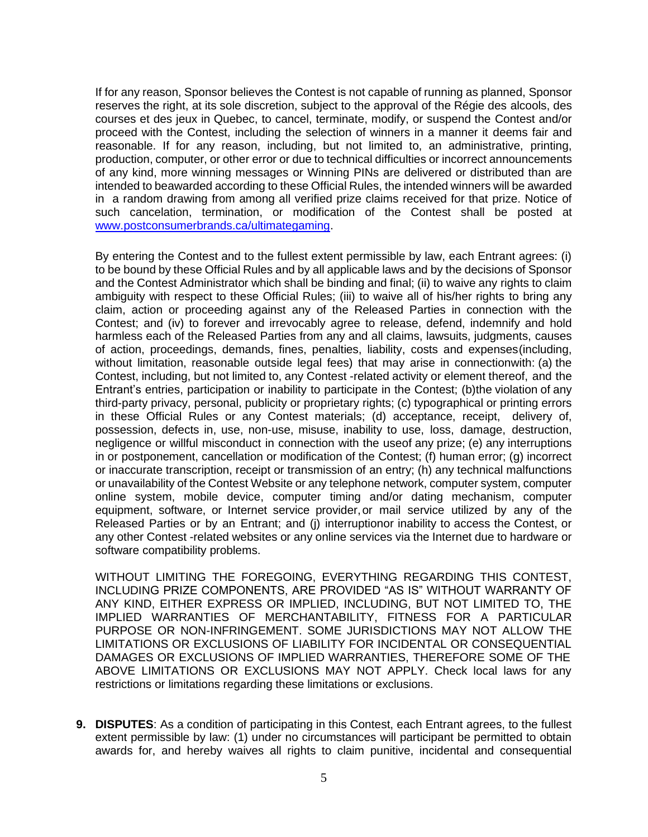If for any reason, Sponsor believes the Contest is not capable of running as planned, Sponsor reserves the right, at its sole discretion, subject to the approval of the Régie des alcools, des courses et des jeux in Quebec, to cancel, terminate, modify, or suspend the Contest and/or proceed with the Contest, including the selection of winners in a manner it deems fair and reasonable. If for any reason, including, but not limited to, an administrative, printing, production, computer, or other error or due to technical difficulties or incorrect announcements of any kind, more winning messages or Winning PINs are delivered or distributed than are intended to beawarded according to these Official Rules, the intended winners will be awarded in a random drawing from among all verified prize claims received for that prize. Notice of such cancelation, termination, or modification of the Contest shall be posted at [www.postconsumerbrands.ca/ultimategaming.](http://www.postconsumerbrands.ca/ultimategaming)

By entering the Contest and to the fullest extent permissible by law, each Entrant agrees: (i) to be bound by these Official Rules and by all applicable laws and by the decisions of Sponsor and the Contest Administrator which shall be binding and final; (ii) to waive any rights to claim ambiguity with respect to these Official Rules; (iii) to waive all of his/her rights to bring any claim, action or proceeding against any of the Released Parties in connection with the Contest; and (iv) to forever and irrevocably agree to release, defend, indemnify and hold harmless each of the Released Parties from any and all claims, lawsuits, judgments, causes of action, proceedings, demands, fines, penalties, liability, costs and expenses(including, without limitation, reasonable outside legal fees) that may arise in connectionwith: (a) the Contest, including, but not limited to, any Contest -related activity or element thereof, and the Entrant's entries, participation or inability to participate in the Contest; (b)the violation of any third-party privacy, personal, publicity or proprietary rights; (c) typographical or printing errors in these Official Rules or any Contest materials; (d) acceptance, receipt, delivery of, possession, defects in, use, non-use, misuse, inability to use, loss, damage, destruction, negligence or willful misconduct in connection with the useof any prize; (e) any interruptions in or postponement, cancellation or modification of the Contest; (f) human error; (g) incorrect or inaccurate transcription, receipt or transmission of an entry; (h) any technical malfunctions or unavailability of the Contest Website or any telephone network, computer system, computer online system, mobile device, computer timing and/or dating mechanism, computer equipment, software, or Internet service provider,or mail service utilized by any of the Released Parties or by an Entrant; and (j) interruptionor inability to access the Contest, or any other Contest -related websites or any online services via the Internet due to hardware or software compatibility problems.

WITHOUT LIMITING THE FOREGOING, EVERYTHING REGARDING THIS CONTEST, INCLUDING PRIZE COMPONENTS, ARE PROVIDED "AS IS" WITHOUT WARRANTY OF ANY KIND, EITHER EXPRESS OR IMPLIED, INCLUDING, BUT NOT LIMITED TO, THE IMPLIED WARRANTIES OF MERCHANTABILITY, FITNESS FOR A PARTICULAR PURPOSE OR NON-INFRINGEMENT. SOME JURISDICTIONS MAY NOT ALLOW THE LIMITATIONS OR EXCLUSIONS OF LIABILITY FOR INCIDENTAL OR CONSEQUENTIAL DAMAGES OR EXCLUSIONS OF IMPLIED WARRANTIES, THEREFORE SOME OF THE ABOVE LIMITATIONS OR EXCLUSIONS MAY NOT APPLY. Check local laws for any restrictions or limitations regarding these limitations or exclusions.

**9. DISPUTES**: As a condition of participating in this Contest, each Entrant agrees, to the fullest extent permissible by law: (1) under no circumstances will participant be permitted to obtain awards for, and hereby waives all rights to claim punitive, incidental and consequential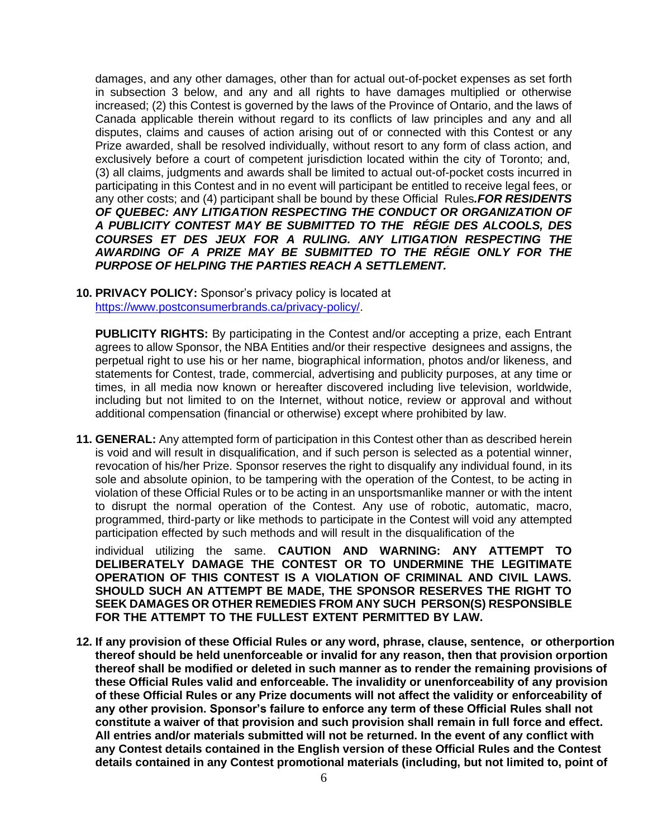damages, and any other damages, other than for actual out-of-pocket expenses as set forth in subsection 3 below, and any and all rights to have damages multiplied or otherwise increased; (2) this Contest is governed by the laws of the Province of Ontario, and the laws of Canada applicable therein without regard to its conflicts of law principles and any and all disputes, claims and causes of action arising out of or connected with this Contest or any Prize awarded, shall be resolved individually, without resort to any form of class action, and exclusively before a court of competent jurisdiction located within the city of Toronto; and, (3) all claims, judgments and awards shall be limited to actual out-of-pocket costs incurred in participating in this Contest and in no event will participant be entitled to receive legal fees, or any other costs; and (4) participant shall be bound by these Official Rules*.FOR RESIDENTS OF QUEBEC: ANY LITIGATION RESPECTING THE CONDUCT OR ORGANIZATION OF A PUBLICITY CONTEST MAY BE SUBMITTED TO THE RÉGIE DES ALCOOLS, DES COURSES ET DES JEUX FOR A RULING. ANY LITIGATION RESPECTING THE AWARDING OF A PRIZE MAY BE SUBMITTED TO THE RÉGIE ONLY FOR THE PURPOSE OF HELPING THE PARTIES REACH A SETTLEMENT.*

**10. PRIVACY POLICY:** Sponsor's privacy policy is located at [https://www.postconsumerbrands.ca/privacy-policy/.](https://www.postconsumerbrands.ca/privacy-policy/)

**PUBLICITY RIGHTS:** By participating in the Contest and/or accepting a prize, each Entrant agrees to allow Sponsor, the NBA Entities and/or their respective designees and assigns, the perpetual right to use his or her name, biographical information, photos and/or likeness, and statements for Contest, trade, commercial, advertising and publicity purposes, at any time or times, in all media now known or hereafter discovered including live television, worldwide, including but not limited to on the Internet, without notice, review or approval and without additional compensation (financial or otherwise) except where prohibited by law.

**11. GENERAL:** Any attempted form of participation in this Contest other than as described herein is void and will result in disqualification, and if such person is selected as a potential winner, revocation of his/her Prize. Sponsor reserves the right to disqualify any individual found, in its sole and absolute opinion, to be tampering with the operation of the Contest, to be acting in violation of these Official Rules or to be acting in an unsportsmanlike manner or with the intent to disrupt the normal operation of the Contest. Any use of robotic, automatic, macro, programmed, third-party or like methods to participate in the Contest will void any attempted participation effected by such methods and will result in the disqualification of the

individual utilizing the same. **CAUTION AND WARNING: ANY ATTEMPT TO DELIBERATELY DAMAGE THE CONTEST OR TO UNDERMINE THE LEGITIMATE OPERATION OF THIS CONTEST IS A VIOLATION OF CRIMINAL AND CIVIL LAWS. SHOULD SUCH AN ATTEMPT BE MADE, THE SPONSOR RESERVES THE RIGHT TO SEEK DAMAGES OR OTHER REMEDIES FROM ANY SUCH PERSON(S) RESPONSIBLE FOR THE ATTEMPT TO THE FULLEST EXTENT PERMITTED BY LAW.**

**12. If any provision of these Official Rules or any word, phrase, clause, sentence, or otherportion thereof should be held unenforceable or invalid for any reason, then that provision orportion thereof shall be modified or deleted in such manner as to render the remaining provisions of these Official Rules valid and enforceable. The invalidity or unenforceability of any provision of these Official Rules or any Prize documents will not affect the validity or enforceability of any other provision. Sponsor's failure to enforce any term of these Official Rules shall not constitute a waiver of that provision and such provision shall remain in full force and effect. All entries and/or materials submitted will not be returned. In the event of any conflict with any Contest details contained in the English version of these Official Rules and the Contest details contained in any Contest promotional materials (including, but not limited to, point of**